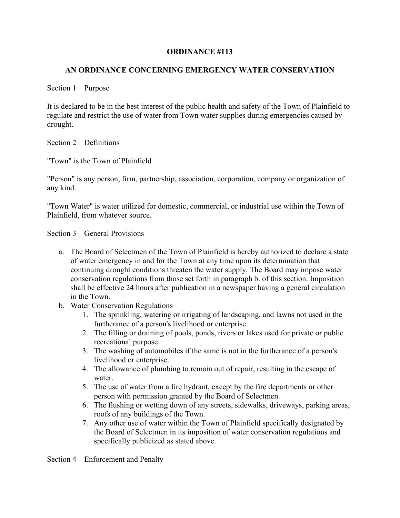## **ORDINANCE #113**

## **AN ORDINANCE CONCERNING EMERGENCY WATER CONSERVATION**

Section 1 Purpose

It is declared to be in the best interest of the public health and safety of the Town of Plainfield to regulate and restrict the use of water from Town water supplies during emergencies caused by drought.

Section 2 Definitions

"Town" is the Town of Plainfield

"Person" is any person, firm, partnership, association, corporation, company or organization of any kind.

"Town Water" is water utilized for domestic, commercial, or industrial use within the Town of Plainfield, from whatever source.

Section 3 General Provisions

- a. The Board of Selectmen of the Town of Plainfield is hereby authorized to declare a state of water emergency in and for the Town at any time upon its determination that continuing drought conditions threaten the water supply. The Board may impose water conservation regulations from those set forth in paragraph b. of this section. Imposition shall be effective 24 hours after publication in a newspaper having a general circulation in the Town.
- b. Water Conservation Regulations
	- 1. The sprinkling, watering or irrigating of landscaping, and lawns not used in the furtherance of a person's livelihood or enterprise.
	- 2. The filling or draining of pools, ponds, rivers or lakes used for private or public recreational purpose.
	- 3. The washing of automobiles if the same is not in the furtherance of a person's livelihood or enterprise.
	- 4. The allowance of plumbing to remain out of repair, resulting in the escape of water.
	- 5. The use of water from a fire hydrant, except by the fire departments or other person with permission granted by the Board of Selectmen.
	- 6. The flushing or wetting down of any streets, sidewalks, driveways, parking areas, roofs of any buildings of the Town.
	- 7. Any other use of water within the Town of Plainfield specifically designated by the Board of Selectmen in its imposition of water conservation regulations and specifically publicized as stated above.

Section 4 Enforcement and Penalty